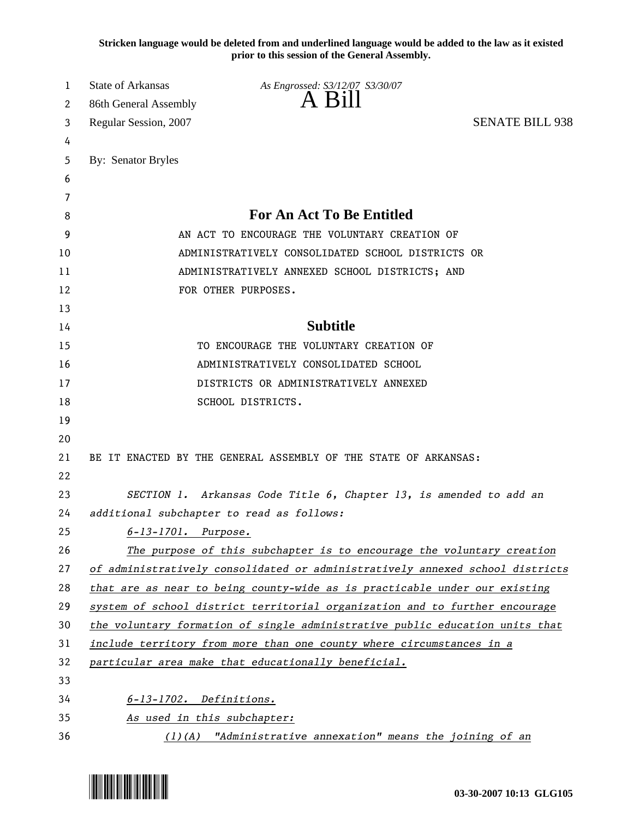**Stricken language would be deleted from and underlined language would be added to the law as it existed prior to this session of the General Assembly.**

| 1  | <b>State of Arkansas</b>                  | As Engrossed: S3/12/07 S3/30/07                                               |                        |
|----|-------------------------------------------|-------------------------------------------------------------------------------|------------------------|
| 2  | 86th General Assembly                     | A Bill                                                                        |                        |
| 3  | Regular Session, 2007                     |                                                                               | <b>SENATE BILL 938</b> |
| 4  |                                           |                                                                               |                        |
| 5  | By: Senator Bryles                        |                                                                               |                        |
| 6  |                                           |                                                                               |                        |
| 7  |                                           |                                                                               |                        |
| 8  |                                           | <b>For An Act To Be Entitled</b>                                              |                        |
| 9  |                                           | AN ACT TO ENCOURAGE THE VOLUNTARY CREATION OF                                 |                        |
| 10 |                                           | ADMINISTRATIVELY CONSOLIDATED SCHOOL DISTRICTS OR                             |                        |
| 11 |                                           | ADMINISTRATIVELY ANNEXED SCHOOL DISTRICTS; AND                                |                        |
| 12 |                                           | FOR OTHER PURPOSES.                                                           |                        |
| 13 |                                           |                                                                               |                        |
| 14 |                                           | <b>Subtitle</b>                                                               |                        |
| 15 |                                           | TO ENCOURAGE THE VOLUNTARY CREATION OF                                        |                        |
| 16 |                                           | ADMINISTRATIVELY CONSOLIDATED SCHOOL                                          |                        |
| 17 |                                           | DISTRICTS OR ADMINISTRATIVELY ANNEXED                                         |                        |
| 18 |                                           | SCHOOL DISTRICTS.                                                             |                        |
| 19 |                                           |                                                                               |                        |
| 20 |                                           |                                                                               |                        |
| 21 |                                           | BE IT ENACTED BY THE GENERAL ASSEMBLY OF THE STATE OF ARKANSAS:               |                        |
| 22 |                                           |                                                                               |                        |
| 23 |                                           | SECTION 1. Arkansas Code Title 6, Chapter 13, is amended to add an            |                        |
| 24 | additional subchapter to read as follows: |                                                                               |                        |
| 25 | $6 - 13 - 1701$ . Purpose.                |                                                                               |                        |
| 26 |                                           | The purpose of this subchapter is to encourage the voluntary creation         |                        |
| 27 |                                           | of administratively consolidated or administratively annexed school districts |                        |
| 28 |                                           | that are as near to being county-wide as is practicable under our existing    |                        |
| 29 |                                           | system of school district territorial organization and to further encourage   |                        |
| 30 |                                           | the voluntary formation of single administrative public education units that  |                        |
| 31 |                                           | include territory from more than one county where circumstances in a          |                        |
| 32 |                                           | particular area make that educationally beneficial.                           |                        |
| 33 |                                           |                                                                               |                        |
| 34 | $6-13-1702$ . Definitions.                |                                                                               |                        |
| 35 | As used in this subchapter:               |                                                                               |                        |
| 36 |                                           | (1)(A) "Administrative annexation" means the joining of an                    |                        |

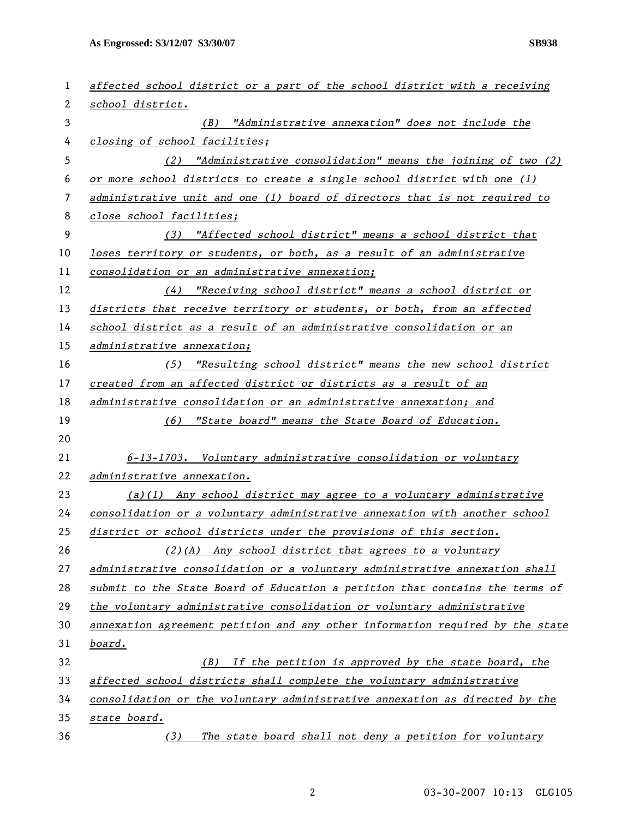**As Engrossed: S3/12/07 S3/30/07 SB938** 

| 1  | affected school district or a part of the school district with a receiving    |
|----|-------------------------------------------------------------------------------|
| 2  | school district.                                                              |
| 3  | (B) "Administrative annexation" does not include the                          |
| 4  | closing of school facilities;                                                 |
| 5  | (2) "Administrative consolidation" means the joining of two (2)               |
| 6  | or more school districts to create a single school district with one (1)      |
| 7  | administrative unit and one (1) board of directors that is not required to    |
| 8  | close school facilities;                                                      |
| 9  | (3) "Affected school district" means a school district that                   |
| 10 | loses territory or students, or both, as a result of an administrative        |
| 11 | consolidation or an administrative annexation;                                |
| 12 | "Receiving school district" means a school district or<br>(4)                 |
| 13 | districts that receive territory or students, or both, from an affected       |
| 14 | school district as a result of an administrative consolidation or an          |
| 15 | administrative annexation;                                                    |
| 16 | "Resulting school district" means the new school district<br>(5)              |
| 17 | created from an affected district or districts as a result of an              |
| 18 | administrative consolidation or an administrative annexation; and             |
| 19 | (6) "State board" means the State Board of Education.                         |
| 20 |                                                                               |
| 21 | 6-13-1703. Voluntary administrative consolidation or voluntary                |
| 22 | administrative annexation.                                                    |
| 23 | $(a)(1)$ Any school district may agree to a voluntary administrative          |
| 24 | consolidation or a voluntary administrative annexation with another school    |
| 25 | district or school districts under the provisions of this section.            |
| 26 | (2)(A) Any school district that agrees to a voluntary                         |
| 27 | administrative consolidation or a voluntary administrative annexation shall   |
| 28 | submit to the State Board of Education a petition that contains the terms of  |
| 29 | the voluntary administrative consolidation or voluntary administrative        |
| 30 | annexation agreement petition and any other information required by the state |
| 31 | board.                                                                        |
| 32 | If the petition is approved by the state board, the<br>(B)                    |
| 33 | affected school districts shall complete the voluntary administrative         |
| 34 | consolidation or the voluntary administrative annexation as directed by the   |
| 35 | state board.                                                                  |
| 36 | The state board shall not deny a petition for voluntary<br>(3)                |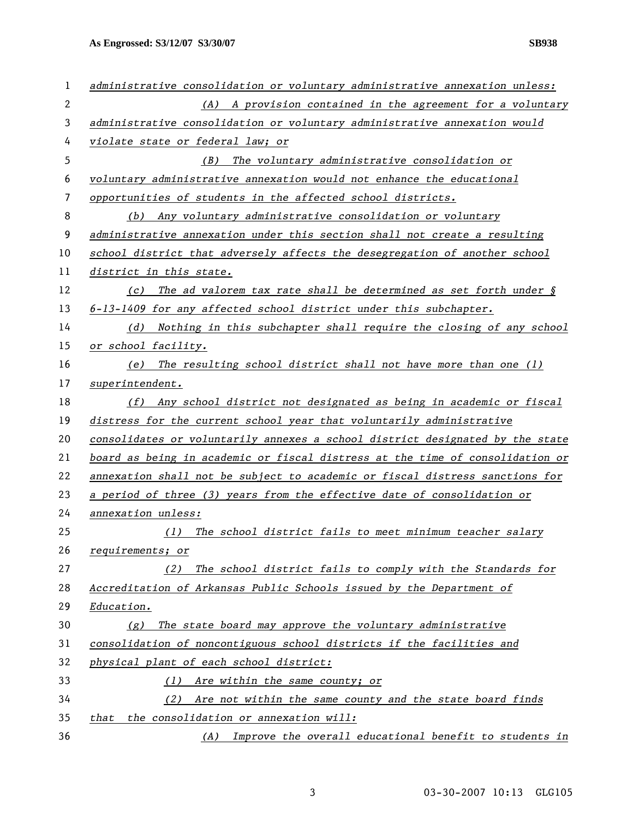**As Engrossed: S3/12/07 S3/30/07 SB938** 

| 1            | administrative consolidation or voluntary administrative annexation unless:   |
|--------------|-------------------------------------------------------------------------------|
| $\mathbf{2}$ | (A) A provision contained in the agreement for a voluntary                    |
| 3            | administrative consolidation or voluntary administrative annexation would     |
| 4            | violate state or federal law; or                                              |
| 5            | The voluntary administrative consolidation or<br>(B)                          |
| 6            | voluntary administrative annexation would not enhance the educational         |
| 7            | opportunities of students in the affected school districts.                   |
| 8            | (b) Any voluntary administrative consolidation or voluntary                   |
| 9            | administrative annexation under this section shall not create a resulting     |
| 10           | school district that adversely affects the desegregation of another school    |
| 11           | district in this state.                                                       |
| 12           | (c) The ad valorem tax rate shall be determined as set forth under $\oint$    |
| 13           | 6-13-1409 for any affected school district under this subchapter.             |
| 14           | Nothing in this subchapter shall require the closing of any school<br>(d)     |
| 15           | or school facility.                                                           |
| 16           | (e) The resulting school district shall not have more than one (1)            |
| 17           | superintendent.                                                               |
| 18           | (f) Any school district not designated as being in academic or fiscal         |
| 19           | distress for the current school year that voluntarily administrative          |
| 20           | consolidates or voluntarily annexes a school district designated by the state |
| 21           | board as being in academic or fiscal distress at the time of consolidation or |
| 22           | annexation shall not be subject to academic or fiscal distress sanctions for  |
| 23           | a period of three (3) years from the effective date of consolidation or       |
| 24           | annexation unless:                                                            |
| 25           | The school district fails to meet minimum teacher salary<br>(1)               |
| 26           | requirements; or                                                              |
| 27           | The school district fails to comply with the Standards for<br>(2)             |
| 28           | Accreditation of Arkansas Public Schools issued by the Department of          |
| 29           | Education.                                                                    |
| 30           | The state board may approve the voluntary administrative<br>(g)               |
| 31           | consolidation of noncontiguous school districts if the facilities and         |
| 32           | physical plant of each school district:                                       |
| 33           | Are within the same county; or<br>(1)                                         |
| 34           | Are not within the same county and the state board finds<br>(2)               |
| 35           | the consolidation or annexation will:<br>that                                 |
| 36           | Improve the overall educational benefit to students in<br>(A)                 |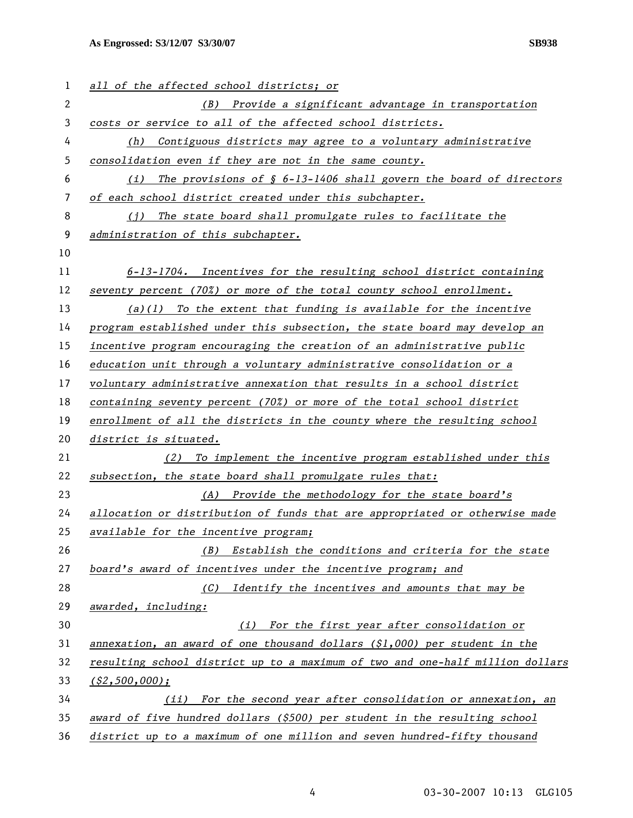## **As Engrossed: S3/12/07 S3/30/07 SB938**

| 1              | all of the affected school districts; or                                      |
|----------------|-------------------------------------------------------------------------------|
| $\overline{2}$ | (B) Provide a significant advantage in transportation                         |
| 3              | costs or service to all of the affected school districts.                     |
| 4              | Contiguous districts may agree to a voluntary administrative<br>(h)           |
| 5              | consolidation even if they are not in the same county.                        |
| 6              | The provisions of $\S$ 6-13-1406 shall govern the board of directors<br>(i)   |
| 7              | of each school district created under this subchapter.                        |
| 8              | The state board shall promulgate rules to facilitate the<br>(i)               |
| 9              | administration of this subchapter.                                            |
| 10             |                                                                               |
| 11             | $6-13-1704$ . Incentives for the resulting school district containing         |
| 12             | seventy percent (70%) or more of the total county school enrollment.          |
| 13             | $(a)(1)$ To the extent that funding is available for the incentive            |
| 14             | program established under this subsection, the state board may develop an     |
| 15             | incentive program encouraging the creation of an administrative public        |
| 16             | education unit through a voluntary administrative consolidation or a          |
| 17             | voluntary administrative annexation that results in a school district         |
| 18             | containing seventy percent (70%) or more of the total school district         |
| 19             | enrollment of all the districts in the county where the resulting school      |
| 20             | district is situated.                                                         |
| 21             | (2) To implement the incentive program established under this                 |
| 22             | subsection, the state board shall promulgate rules that:                      |
| 23             | (A) Provide the methodology for the state board's                             |
| 24             | allocation or distribution of funds that are appropriated or otherwise made   |
| 25             | available for the incentive program;                                          |
| 26             | Establish the conditions and criteria for the state<br>(B)                    |
| 27             | board's award of incentives under the incentive program; and                  |
| 28             | Identify the incentives and amounts that may be<br>(C)                        |
| 29             | awarded, including:                                                           |
| 30             | For the first year after consolidation or<br>(i)                              |
| 31             | annexation, an award of one thousand dollars $(\xi1,000)$ per student in the  |
| 32             | resulting school district up to a maximum of two and one-half million dollars |
| 33             | $($ \$2,500,000);                                                             |
| 34             | For the second year after consolidation or annexation, an<br>(ii)             |
| 35             | award of five hundred dollars (\$500) per student in the resulting school     |
| 36             | district up to a maximum of one million and seven hundred-fifty thousand      |